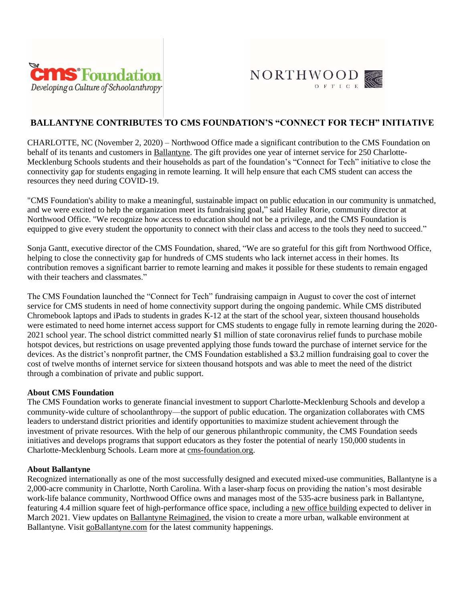



# **BALLANTYNE CONTRIBUTES TO CMS FOUNDATION'S "CONNECT FOR TECH" INITIATIVE**

CHARLOTTE, NC (November 2, 2020) – Northwood Office made a significant contribution to the CMS Foundation on behalf of its tenants and customers in [Ballantyne.](https://www.goballantyne.com/) The gift provides one year of internet service for 250 Charlotte-Mecklenburg Schools students and their households as part of the foundation's "Connect for Tech" initiative to close the connectivity gap for students engaging in remote learning. It will help ensure that each CMS student can access the resources they need during COVID-19.

"CMS Foundation's ability to make a meaningful, sustainable impact on public education in our community is unmatched, and we were excited to help the organization meet its fundraising goal," said Hailey Rorie, community director at Northwood Office. "We recognize how access to education should not be a privilege, and the CMS Foundation is equipped to give every student the opportunity to connect with their class and access to the tools they need to succeed."

Sonja Gantt, executive director of the CMS Foundation, shared, "We are so grateful for this gift from Northwood Office, helping to close the connectivity gap for hundreds of CMS students who lack internet access in their homes. Its contribution removes a significant barrier to remote learning and makes it possible for these students to remain engaged with their teachers and classmates."

The CMS Foundation launched the "Connect for Tech" fundraising campaign in August to cover the cost of internet service for CMS students in need of home connectivity support during the ongoing pandemic. While CMS distributed Chromebook laptops and iPads to students in grades K-12 at the start of the school year, sixteen thousand households were estimated to need home internet access support for CMS students to engage fully in remote learning during the 2020- 2021 school year. The school district committed nearly \$1 million of state coronavirus relief funds to purchase mobile hotspot devices, but restrictions on usage prevented applying those funds toward the purchase of internet service for the devices. As the district's nonprofit partner, the CMS Foundation established a \$3.2 million fundraising goal to cover the cost of twelve months of internet service for sixteen thousand hotspots and was able to meet the need of the district through a combination of private and public support.

## **About CMS Foundation**

The CMS Foundation works to generate financial investment to support Charlotte-Mecklenburg Schools and develop a community-wide culture of schoolanthropy—the support of public education. The organization collaborates with CMS leaders to understand district priorities and identify opportunities to maximize student achievement through the investment of private resources. With the help of our generous philanthropic community, the CMS Foundation seeds initiatives and develops programs that support educators as they foster the potential of nearly 150,000 students in Charlotte-Mecklenburg Schools. Learn more at [cms-foundation.org.](https://cms-foundation.org/)

## **About Ballantyne**

Recognized internationally as one of the most successfully designed and executed mixed-use communities, Ballantyne is a 2,000-acre community in Charlotte, North Carolina. With a laser-sharp focus on providing the nation's most desirable work-life balance community, Northwood Office owns and manages most of the 535-acre business park in Ballantyne, featuring 4.4 million square feet of high-performance office space, including a [new office building](http://13146.projectballantyne.com/) expected to deliver in March 2021. View updates on [Ballantyne Reimagined,](http://reimagined.projectballantyne.com/) the vision to create a more urban, walkable environment at Ballantyne. Visit [goBallantyne.com](https://www.goballantyne.com/) for the latest community happenings.